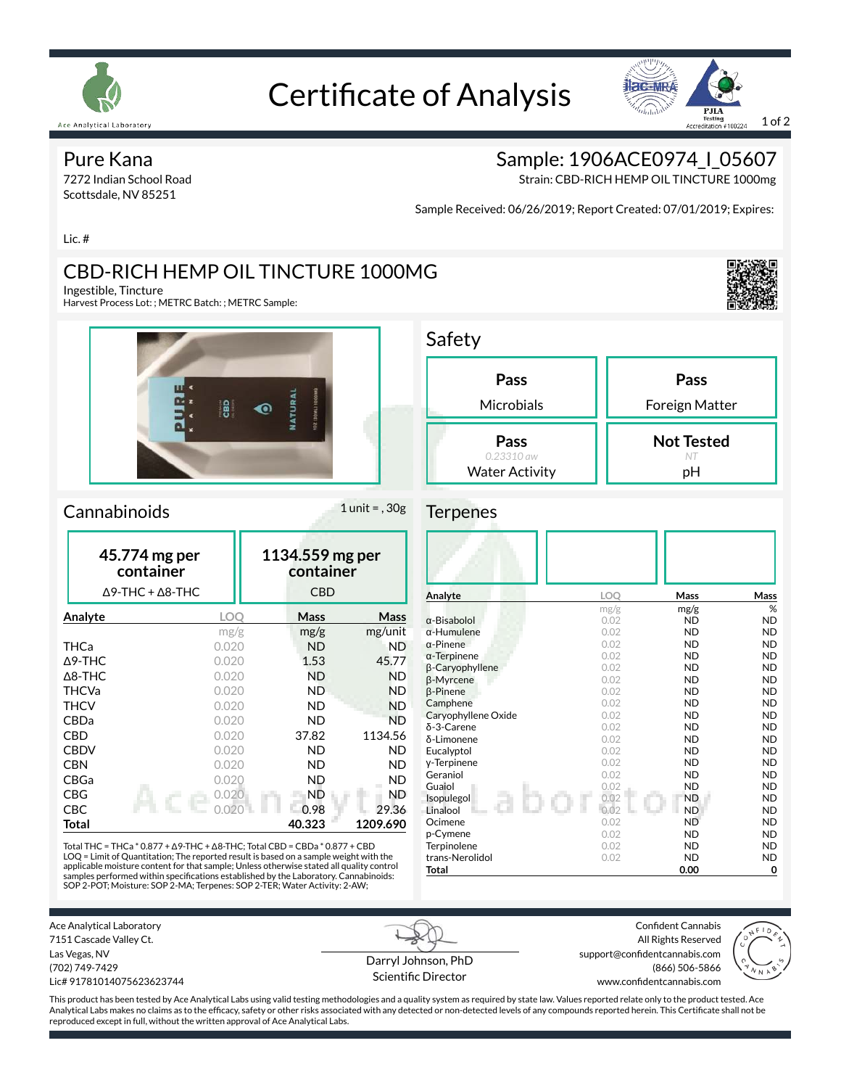

# Certificate of Analysis



#### Pure Kana

7272 Indian School Road Scottsdale, NV 85251

### Sample: 1906ACE0974 | 05607

Strain: CBD-RICH HEMP OIL TINCTURE 1000mg

Sample Received: 06/26/2019; Report Created: 07/01/2019; Expires:

Lic. #

## CBD-RICH HEMP OIL TINCTURE 1000MG

Ingestible, Tincture

Harvest Process Lot: ; METRC Batch: ; METRC Sample:



#### $Camabinoids$  1 unit = , 30g

| 45.774 mg per<br>container<br>$\Delta$ 9-THC + $\Delta$ 8-THC |       | 1134.559 mg per<br>container<br><b>CBD</b> |           |  |
|---------------------------------------------------------------|-------|--------------------------------------------|-----------|--|
| Analyte                                                       | LOO   | Mass                                       | Mass      |  |
|                                                               | mg/g  | mg/g                                       | mg/unit   |  |
| <b>THCa</b>                                                   | 0.020 | <b>ND</b>                                  | ND        |  |
| $\Delta$ 9-THC                                                | 0.020 | 1.53                                       | 45.77     |  |
| $\Delta$ 8-THC                                                | 0.020 |                                            | <b>ND</b> |  |
| <b>THCVa</b>                                                  | 0.020 | ND                                         | <b>ND</b> |  |
| <b>THCV</b>                                                   | 0.020 | ND                                         | ND        |  |
| CBDa                                                          | 0.020 | ND                                         | <b>ND</b> |  |
| <b>CBD</b>                                                    | 0.020 | 37.82                                      | 1134.56   |  |
| <b>CBDV</b>                                                   | 0.020 | ND                                         | <b>ND</b> |  |
| <b>CBN</b>                                                    | 0.020 | ND                                         | ND        |  |
| CBGa                                                          | 0.020 | ND                                         | ND        |  |
| CBG                                                           | 0.020 | ND                                         | ND        |  |
| CBC                                                           | 0.020 | 0.98                                       | 29.36     |  |
| Total                                                         |       | 40.323                                     | 1209.690  |  |

Total THC = THCa \* 0.877 + ∆9-THC + ∆8-THC; Total CBD = CBDa \* 0.877 + CBD LOQ = Limit of Quantitation; The reported result is based on a sample weight with the applicable moisture content for that sample; Unless otherwise stated all quality control samples performed within specifications established by the Laboratory. Cannabinoids:<br>SOP 2-POT; Moisture: SOP 2-MA; Terpenes: SOP 2-TER; Water Activity: 2-AW;

| Pass                                        | Pass                    |
|---------------------------------------------|-------------------------|
| Microbials                                  | Foreign Matter          |
| Pass<br>0.23310 aw<br><b>Water Activity</b> | <b>Not Tested</b><br>рH |

#### **Terpenes**

| Analyte             | <b>LOO</b> | Mass      | Mass      |
|---------------------|------------|-----------|-----------|
|                     | mg/g       | mg/g      | %         |
| $\alpha$ -Bisabolol | 0.02       | <b>ND</b> | <b>ND</b> |
| $\alpha$ -Humulene  | 0.02       | <b>ND</b> | <b>ND</b> |
| $\alpha$ -Pinene    | 0.02       | <b>ND</b> | <b>ND</b> |
| $\alpha$ -Terpinene | 0.02       | <b>ND</b> | <b>ND</b> |
| β-Caryophyllene     | 0.02       | <b>ND</b> | <b>ND</b> |
| <b>ß-Myrcene</b>    | 0.02       | <b>ND</b> | <b>ND</b> |
| <b>B-Pinene</b>     | 0.02       | <b>ND</b> | <b>ND</b> |
| Camphene            | 0.02       | <b>ND</b> | <b>ND</b> |
| Caryophyllene Oxide | 0.02       | <b>ND</b> | <b>ND</b> |
| δ-3-Carene          | 0.02       | <b>ND</b> | <b>ND</b> |
| δ-Limonene          | 0.02       | <b>ND</b> | <b>ND</b> |
| Eucalyptol          | 0.02       | <b>ND</b> | <b>ND</b> |
| y-Terpinene         | 0.02       | <b>ND</b> | <b>ND</b> |
| Geraniol            | 0.02       | <b>ND</b> | <b>ND</b> |
| Guaiol              | 0.02       | <b>ND</b> | <b>ND</b> |
| Isopulegol          | 0.02       | <b>ND</b> | <b>ND</b> |
| Linalool            | 0.02       | <b>ND</b> | <b>ND</b> |
| Ocimene             | 0.02       | <b>ND</b> | <b>ND</b> |
| p-Cymene            | 0.02       | <b>ND</b> | <b>ND</b> |
| Terpinolene         | 0.02       | <b>ND</b> | <b>ND</b> |
| trans-Nerolidol     | 0.02       | <b>ND</b> | <b>ND</b> |
| Total               |            | 0.00      | 0         |

Confident Cannabis All Rights Reserved support@confidentcannabis.com (866) 506-5866 www.confidentcannabis.com



Las Vegas, NV (702) 749-7429 Lic# 91781014075623623744

Ace Analytical Laboratory 7151 Cascade Valley Ct.

> Darryl Johnson, PhD Scientific Director

This product has been tested by Ace Analytical Labs using valid testing methodologies and a quality system as required by state law. Values reported relate only to the product tested. Ace Analytical Labs makes no claims as to the efficacy, safety or other risks associated with any detected or non-detected levels of any compounds reported herein. This Certificate shall not be reproduced except in full, without the written approval of Ace Analytical Labs.